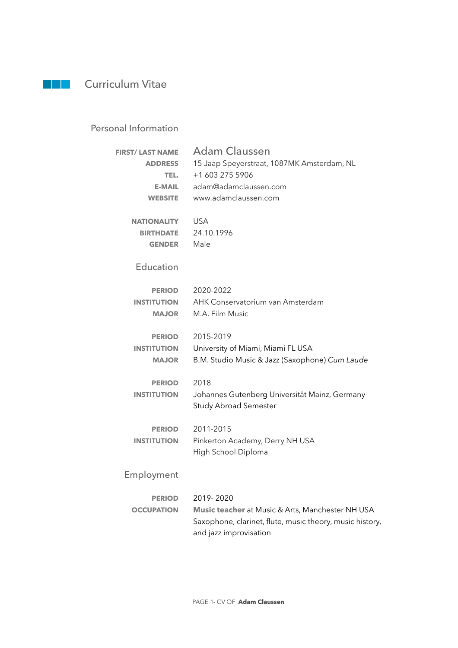## **Curriculum Vitae**

## Personal Information

| <b>FIRST/ LAST NAME</b><br><b>ADDRESS</b><br>TEL.<br><b>E-MAIL</b><br><b>WEBSITE</b> | <b>Adam Claussen</b><br>15 Jaap Speyerstraat, 1087MK Amsterdam, NL<br>+1 603 275 5906<br>adam@adamclaussen.com<br>www.adamclaussen.com              |
|--------------------------------------------------------------------------------------|-----------------------------------------------------------------------------------------------------------------------------------------------------|
| <b>NATIONALITY</b><br><b>BIRTHDATE</b><br><b>GENDER</b>                              | <b>USA</b><br>24.10.1996<br>Male                                                                                                                    |
| Education                                                                            |                                                                                                                                                     |
| <b>PERIOD</b><br><b>INSTITUTION</b><br><b>MAJOR</b>                                  | 2020-2022<br>AHK Conservatorium van Amsterdam<br>M.A. Film Music                                                                                    |
| <b>PERIOD</b><br><b>INSTITUTION</b><br><b>MAJOR</b>                                  | 2015-2019<br>University of Miami, Miami FL USA<br>B.M. Studio Music & Jazz (Saxophone) Cum Laude                                                    |
| <b>PERIOD</b><br><b>INSTITUTION</b>                                                  | 2018<br>Johannes Gutenberg Universität Mainz, Germany<br><b>Study Abroad Semester</b>                                                               |
| <b>PERIOD</b><br><b>INSTITUTION</b>                                                  | 2011-2015<br>Pinkerton Academy, Derry NH USA<br>High School Diploma                                                                                 |
| Employment                                                                           |                                                                                                                                                     |
| <b>PERIOD</b><br><b>OCCUPATION</b>                                                   | 2019-2020<br>Music teacher at Music & Arts, Manchester NH USA<br>Saxophone, clarinet, flute, music theory, music history,<br>and jazz improvisation |

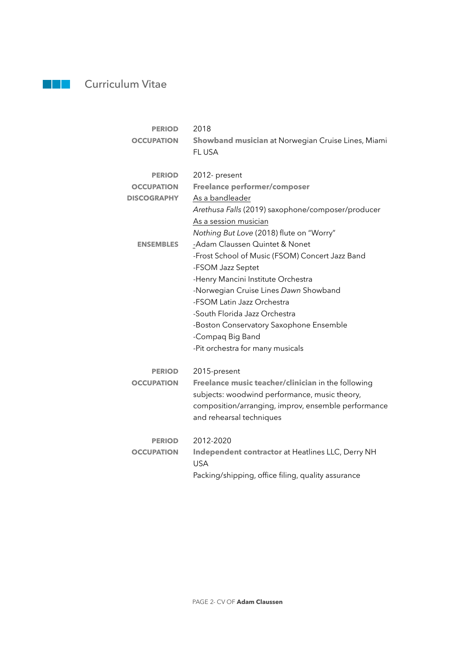## **Curriculum Vitae**

| <b>PERIOD</b>      | 2018                                                        |
|--------------------|-------------------------------------------------------------|
| <b>OCCUPATION</b>  | Showband musician at Norwegian Cruise Lines, Miami<br>FLUSA |
|                    |                                                             |
| <b>PERIOD</b>      | 2012- present                                               |
| <b>OCCUPATION</b>  | <b>Freelance performer/composer</b>                         |
| <b>DISCOGRAPHY</b> | As a bandleader                                             |
|                    | Arethusa Falls (2019) saxophone/composer/producer           |
|                    | As a session musician                                       |
|                    | Nothing But Love (2018) flute on "Worry"                    |
| <b>ENSEMBLES</b>   | -Adam Claussen Quintet & Nonet                              |
|                    | -Frost School of Music (FSOM) Concert Jazz Band             |
|                    | -FSOM Jazz Septet                                           |
|                    | -Henry Mancini Institute Orchestra                          |
|                    | -Norwegian Cruise Lines Dawn Showband                       |
|                    | -FSOM Latin Jazz Orchestra                                  |
|                    | -South Florida Jazz Orchestra                               |
|                    | -Boston Conservatory Saxophone Ensemble                     |
|                    | -Compaq Big Band                                            |
|                    | -Pit orchestra for many musicals                            |
| <b>PERIOD</b>      | 2015-present                                                |
| <b>OCCUPATION</b>  | Freelance music teacher/clinician in the following          |
|                    | subjects: woodwind performance, music theory,               |
|                    | composition/arranging, improv, ensemble performance         |
|                    | and rehearsal techniques                                    |
| <b>PERIOD</b>      | 2012-2020                                                   |
| <b>OCCUPATION</b>  | Independent contractor at Heatlines LLC, Derry NH           |
|                    | <b>USA</b>                                                  |
|                    | Packing/shipping, office filing, quality assurance          |
|                    |                                                             |